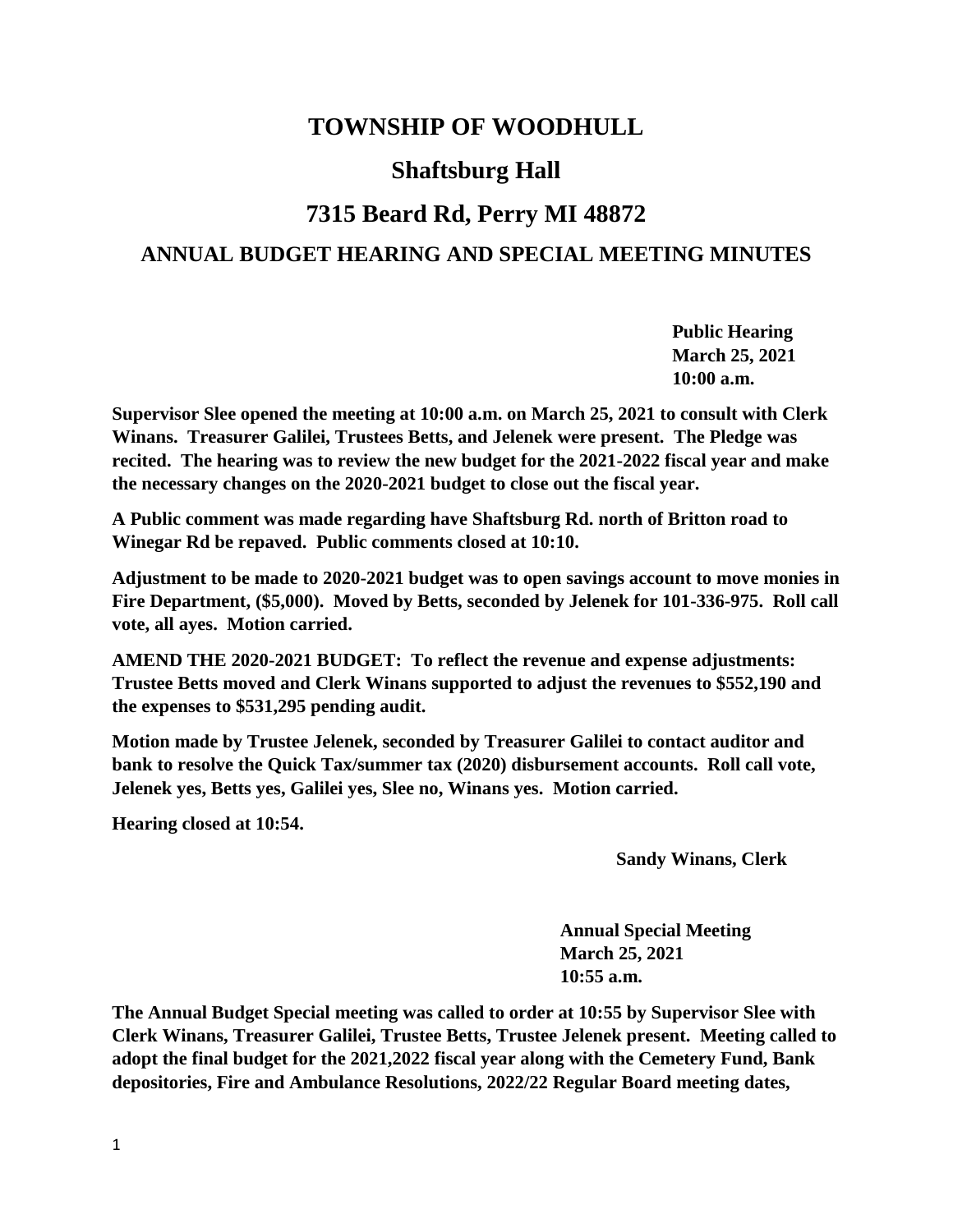# **TOWNSHIP OF WOODHULL**

# **Shaftsburg Hall**

# **7315 Beard Rd, Perry MI 48872**

## **ANNUAL BUDGET HEARING AND SPECIAL MEETING MINUTES**

**Public Hearing March 25, 2021 10:00 a.m.**

**Supervisor Slee opened the meeting at 10:00 a.m. on March 25, 2021 to consult with Clerk Winans. Treasurer Galilei, Trustees Betts, and Jelenek were present. The Pledge was recited. The hearing was to review the new budget for the 2021-2022 fiscal year and make the necessary changes on the 2020-2021 budget to close out the fiscal year.** 

**A Public comment was made regarding have Shaftsburg Rd. north of Britton road to Winegar Rd be repaved. Public comments closed at 10:10.**

**Adjustment to be made to 2020-2021 budget was to open savings account to move monies in Fire Department, (\$5,000). Moved by Betts, seconded by Jelenek for 101-336-975. Roll call vote, all ayes. Motion carried.**

**AMEND THE 2020-2021 BUDGET: To reflect the revenue and expense adjustments: Trustee Betts moved and Clerk Winans supported to adjust the revenues to \$552,190 and the expenses to \$531,295 pending audit.**

**Motion made by Trustee Jelenek, seconded by Treasurer Galilei to contact auditor and bank to resolve the Quick Tax/summer tax (2020) disbursement accounts. Roll call vote, Jelenek yes, Betts yes, Galilei yes, Slee no, Winans yes. Motion carried.**

**Hearing closed at 10:54.**

**Sandy Winans, Clerk**

**Annual Special Meeting March 25, 2021 10:55 a.m.**

**The Annual Budget Special meeting was called to order at 10:55 by Supervisor Slee with Clerk Winans, Treasurer Galilei, Trustee Betts, Trustee Jelenek present. Meeting called to adopt the final budget for the 2021,2022 fiscal year along with the Cemetery Fund, Bank depositories, Fire and Ambulance Resolutions, 2022/22 Regular Board meeting dates,**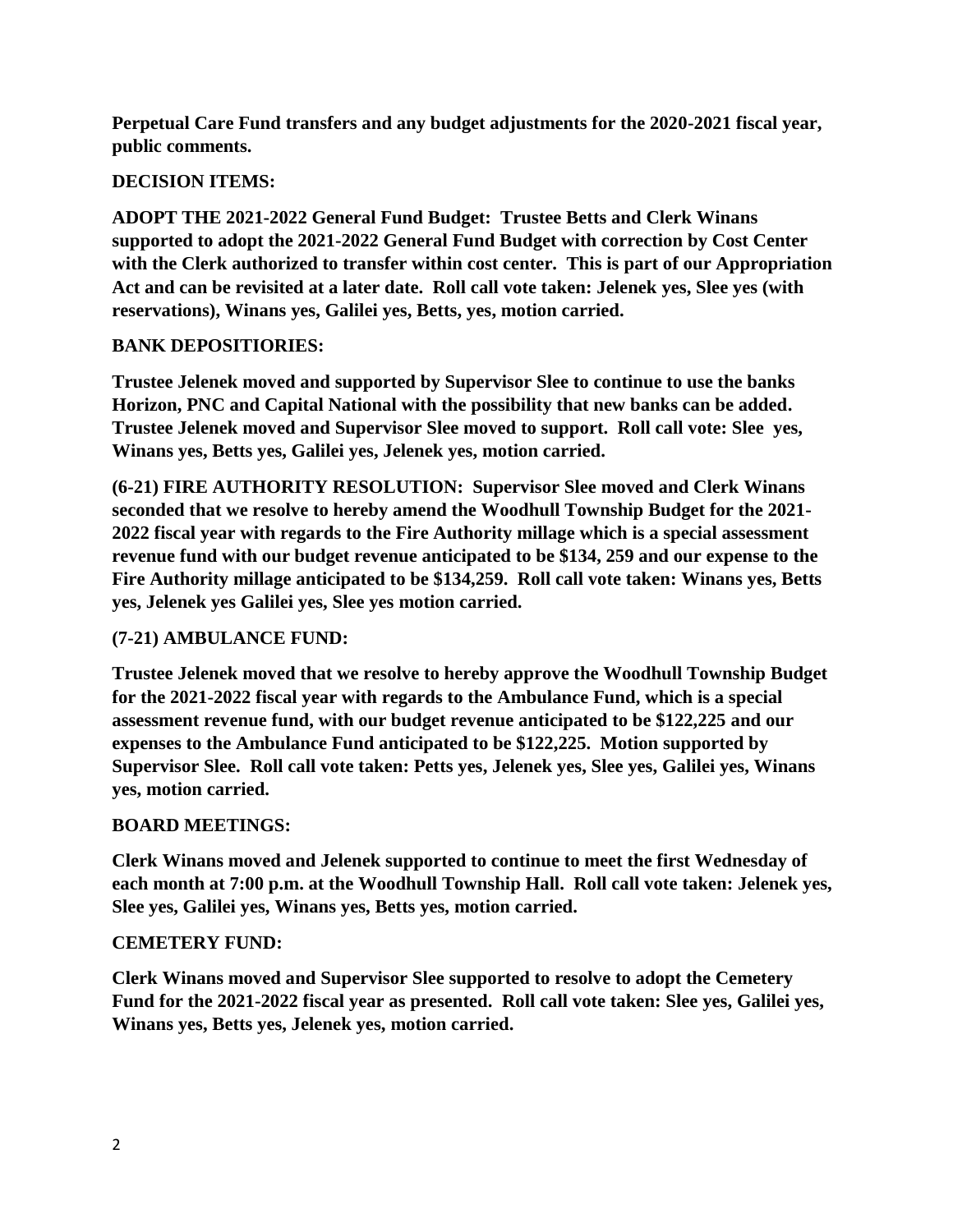**Perpetual Care Fund transfers and any budget adjustments for the 2020-2021 fiscal year, public comments.**

### **DECISION ITEMS:**

**ADOPT THE 2021-2022 General Fund Budget: Trustee Betts and Clerk Winans supported to adopt the 2021-2022 General Fund Budget with correction by Cost Center with the Clerk authorized to transfer within cost center. This is part of our Appropriation Act and can be revisited at a later date. Roll call vote taken: Jelenek yes, Slee yes (with reservations), Winans yes, Galilei yes, Betts, yes, motion carried.**

## **BANK DEPOSITIORIES:**

**Trustee Jelenek moved and supported by Supervisor Slee to continue to use the banks Horizon, PNC and Capital National with the possibility that new banks can be added. Trustee Jelenek moved and Supervisor Slee moved to support. Roll call vote: Slee yes, Winans yes, Betts yes, Galilei yes, Jelenek yes, motion carried.**

**(6-21) FIRE AUTHORITY RESOLUTION: Supervisor Slee moved and Clerk Winans seconded that we resolve to hereby amend the Woodhull Township Budget for the 2021- 2022 fiscal year with regards to the Fire Authority millage which is a special assessment revenue fund with our budget revenue anticipated to be \$134, 259 and our expense to the Fire Authority millage anticipated to be \$134,259. Roll call vote taken: Winans yes, Betts yes, Jelenek yes Galilei yes, Slee yes motion carried.**

## **(7-21) AMBULANCE FUND:**

**Trustee Jelenek moved that we resolve to hereby approve the Woodhull Township Budget for the 2021-2022 fiscal year with regards to the Ambulance Fund, which is a special assessment revenue fund, with our budget revenue anticipated to be \$122,225 and our expenses to the Ambulance Fund anticipated to be \$122,225. Motion supported by Supervisor Slee. Roll call vote taken: Petts yes, Jelenek yes, Slee yes, Galilei yes, Winans yes, motion carried.**

### **BOARD MEETINGS:**

**Clerk Winans moved and Jelenek supported to continue to meet the first Wednesday of each month at 7:00 p.m. at the Woodhull Township Hall. Roll call vote taken: Jelenek yes, Slee yes, Galilei yes, Winans yes, Betts yes, motion carried.**

### **CEMETERY FUND:**

**Clerk Winans moved and Supervisor Slee supported to resolve to adopt the Cemetery Fund for the 2021-2022 fiscal year as presented. Roll call vote taken: Slee yes, Galilei yes, Winans yes, Betts yes, Jelenek yes, motion carried.**